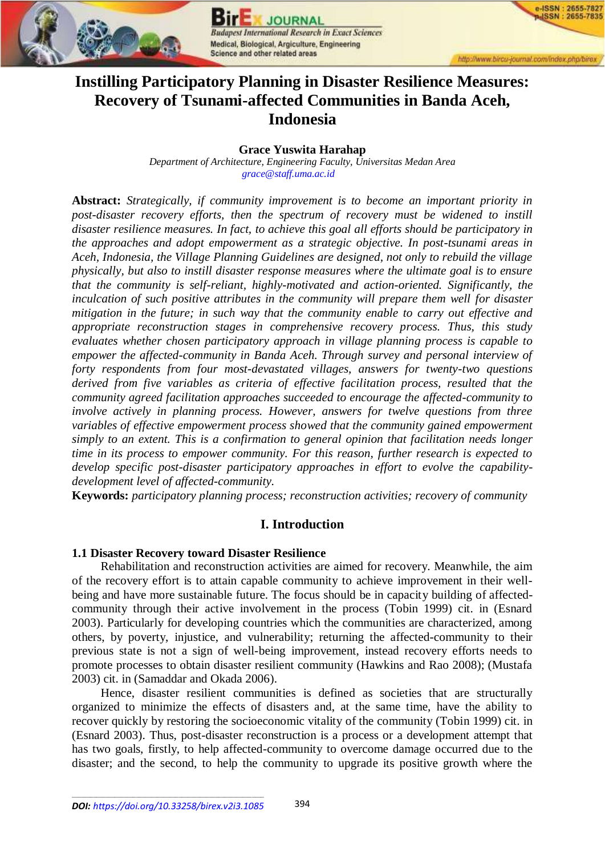

**JOURNAI** est International Research in Exact Sciences Medical, Biological, Argiculture, Engineering Science and other related areas

**ISSN: 2655-782 ISSN: 2655-7835** 

# **Instilling Participatory Planning in Disaster Resilience Measures: Recovery of Tsunami-affected Communities in Banda Aceh, Indonesia**

## **Grace Yuswita Harahap**

*Department of Architecture, Engineering Faculty, Universitas Medan Area [grace@staff.uma.ac.id](mailto:grace@staff.uma.ac.id)*

**Abstract:** *Strategically, if community improvement is to become an important priority in post-disaster recovery efforts, then the spectrum of recovery must be widened to instill disaster resilience measures. In fact, to achieve this goal all efforts should be participatory in the approaches and adopt empowerment as a strategic objective. In post-tsunami areas in Aceh, Indonesia, the Village Planning Guidelines are designed, not only to rebuild the village physically, but also to instill disaster response measures where the ultimate goal is to ensure that the community is self-reliant, highly-motivated and action-oriented. Significantly, the inculcation of such positive attributes in the community will prepare them well for disaster mitigation in the future; in such way that the community enable to carry out effective and appropriate reconstruction stages in comprehensive recovery process. Thus, this study evaluates whether chosen participatory approach in village planning process is capable to empower the affected-community in Banda Aceh. Through survey and personal interview of forty respondents from four most-devastated villages, answers for twenty-two questions derived from five variables as criteria of effective facilitation process, resulted that the community agreed facilitation approaches succeeded to encourage the affected-community to involve actively in planning process. However, answers for twelve questions from three variables of effective empowerment process showed that the community gained empowerment simply to an extent. This is a confirmation to general opinion that facilitation needs longer time in its process to empower community. For this reason, further research is expected to develop specific post-disaster participatory approaches in effort to evolve the capabilitydevelopment level of affected-community.*

**Keywords:** *participatory planning process; reconstruction activities; recovery of community*

## **I. Introduction**

#### **1.1 Disaster Recovery toward Disaster Resilience**

Rehabilitation and reconstruction activities are aimed for recovery. Meanwhile, the aim of the recovery effort is to attain capable community to achieve improvement in their wellbeing and have more sustainable future. The focus should be in capacity building of affectedcommunity through their active involvement in the process (Tobin 1999) cit. in (Esnard 2003). Particularly for developing countries which the communities are characterized, among others, by poverty, injustice, and vulnerability; returning the affected-community to their previous state is not a sign of well-being improvement, instead recovery efforts needs to promote processes to obtain disaster resilient community (Hawkins and Rao 2008); (Mustafa 2003) cit. in (Samaddar and Okada 2006).

Hence, disaster resilient communities is defined as societies that are structurally organized to minimize the effects of disasters and, at the same time, have the ability to recover quickly by restoring the socioeconomic vitality of the community (Tobin 1999) cit. in (Esnard 2003). Thus, post-disaster reconstruction is a process or a development attempt that has two goals, firstly, to help affected-community to overcome damage occurred due to the disaster; and the second, to help the community to upgrade its positive growth where the

\_\_\_\_\_\_\_\_\_\_\_\_\_\_\_\_\_\_\_\_\_\_\_\_\_\_\_\_\_\_\_\_\_\_\_\_\_\_\_\_\_\_\_\_\_\_\_\_\_\_\_\_\_\_\_\_\_\_\_\_\_\_\_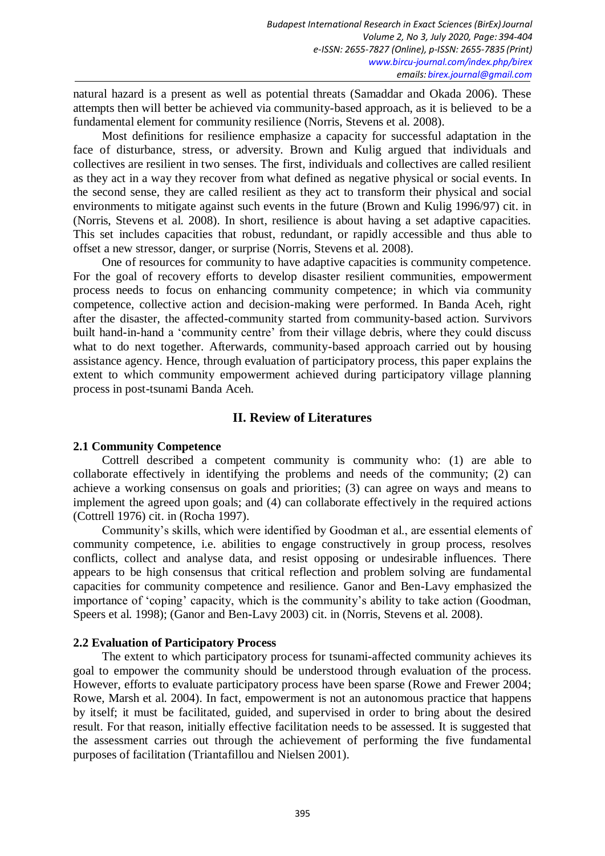natural hazard is a present as well as potential threats (Samaddar and Okada 2006). These attempts then will better be achieved via community-based approach, as it is believed to be a fundamental element for community resilience (Norris, Stevens et al. 2008).

Most definitions for resilience emphasize a capacity for successful adaptation in the face of disturbance, stress, or adversity. Brown and Kulig argued that individuals and collectives are resilient in two senses. The first, individuals and collectives are called resilient as they act in a way they recover from what defined as negative physical or social events. In the second sense, they are called resilient as they act to transform their physical and social environments to mitigate against such events in the future (Brown and Kulig 1996/97) cit. in (Norris, Stevens et al. 2008). In short, resilience is about having a set adaptive capacities. This set includes capacities that robust, redundant, or rapidly accessible and thus able to offset a new stressor, danger, or surprise (Norris, Stevens et al. 2008).

One of resources for community to have adaptive capacities is community competence. For the goal of recovery efforts to develop disaster resilient communities, empowerment process needs to focus on enhancing community competence; in which via community competence, collective action and decision-making were performed. In Banda Aceh, right after the disaster, the affected-community started from community-based action. Survivors built hand-in-hand a 'community centre' from their village debris, where they could discuss what to do next together. Afterwards, community-based approach carried out by housing assistance agency. Hence, through evaluation of participatory process, this paper explains the extent to which community empowerment achieved during participatory village planning process in post-tsunami Banda Aceh.

# **II. Review of Literatures**

#### **2.1 Community Competence**

Cottrell described a competent community is community who: (1) are able to collaborate effectively in identifying the problems and needs of the community; (2) can achieve a working consensus on goals and priorities; (3) can agree on ways and means to implement the agreed upon goals; and (4) can collaborate effectively in the required actions (Cottrell 1976) cit. in (Rocha 1997).

Community's skills, which were identified by Goodman et al., are essential elements of community competence, i.e. abilities to engage constructively in group process, resolves conflicts, collect and analyse data, and resist opposing or undesirable influences. There appears to be high consensus that critical reflection and problem solving are fundamental capacities for community competence and resilience. Ganor and Ben-Lavy emphasized the importance of 'coping' capacity, which is the community's ability to take action (Goodman, Speers et al. 1998); (Ganor and Ben-Lavy 2003) cit. in (Norris, Stevens et al. 2008).

## **2.2 Evaluation of Participatory Process**

The extent to which participatory process for tsunami-affected community achieves its goal to empower the community should be understood through evaluation of the process. However, efforts to evaluate participatory process have been sparse (Rowe and Frewer 2004; Rowe, Marsh et al. 2004). In fact, empowerment is not an autonomous practice that happens by itself; it must be facilitated, guided, and supervised in order to bring about the desired result. For that reason, initially effective facilitation needs to be assessed. It is suggested that the assessment carries out through the achievement of performing the five fundamental purposes of facilitation (Triantafillou and Nielsen 2001).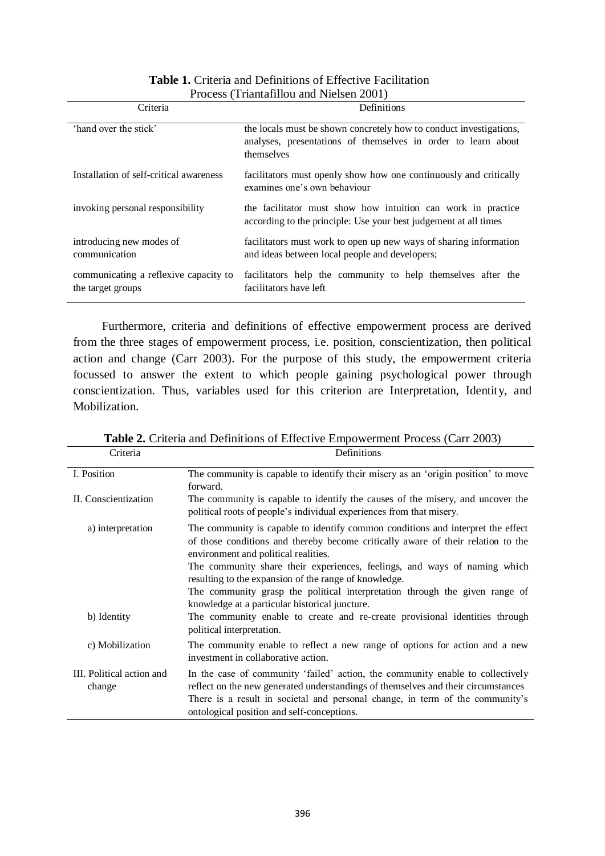| Criteria                                                   | Definitions                                                                                                                                       |  |  |  |  |
|------------------------------------------------------------|---------------------------------------------------------------------------------------------------------------------------------------------------|--|--|--|--|
| 'hand over the stick'                                      | the locals must be shown concretely how to conduct investigations,<br>analyses, presentations of themselves in order to learn about<br>themselves |  |  |  |  |
| Installation of self-critical awareness                    | facilitators must openly show how one continuously and critically<br>examines one's own behaviour                                                 |  |  |  |  |
| invoking personal responsibility                           | the facilitator must show how intuition can work in practice<br>according to the principle: Use your best judgement at all times                  |  |  |  |  |
| introducing new modes of<br>communication                  | facilitators must work to open up new ways of sharing information<br>and ideas between local people and developers;                               |  |  |  |  |
| communicating a reflexive capacity to<br>the target groups | facilitators help the community to help themselves after the<br>facilitators have left                                                            |  |  |  |  |

# **Table 1.** Criteria and Definitions of Effective Facilitation Process (Triantafillou and Nielsen 2001)

Furthermore, criteria and definitions of effective empowerment process are derived from the three stages of empowerment process, i.e. position, conscientization, then political action and change (Carr 2003). For the purpose of this study, the empowerment criteria focussed to answer the extent to which people gaining psychological power through conscientization. Thus, variables used for this criterion are Interpretation, Identity, and Mobilization.

| Criteria                            | Definitions                                                                                                                                                                                                                                                                                        |
|-------------------------------------|----------------------------------------------------------------------------------------------------------------------------------------------------------------------------------------------------------------------------------------------------------------------------------------------------|
| I. Position                         | The community is capable to identify their misery as an 'origin position' to move<br>forward.                                                                                                                                                                                                      |
| II. Conscientization                | The community is capable to identify the causes of the misery, and uncover the<br>political roots of people's individual experiences from that misery.                                                                                                                                             |
| a) interpretation                   | The community is capable to identify common conditions and interpret the effect<br>of those conditions and thereby become critically aware of their relation to the<br>environment and political realities.<br>The community share their experiences, feelings, and ways of naming which           |
|                                     | resulting to the expansion of the range of knowledge.                                                                                                                                                                                                                                              |
|                                     | The community grasp the political interpretation through the given range of<br>knowledge at a particular historical juncture.                                                                                                                                                                      |
| b) Identity                         | The community enable to create and re-create provisional identities through<br>political interpretation.                                                                                                                                                                                           |
| c) Mobilization                     | The community enable to reflect a new range of options for action and a new<br>investment in collaborative action.                                                                                                                                                                                 |
| III. Political action and<br>change | In the case of community 'failed' action, the community enable to collectively<br>reflect on the new generated understandings of themselves and their circumstances<br>There is a result in societal and personal change, in term of the community's<br>ontological position and self-conceptions. |

**Table 2.** Criteria and Definitions of Effective Empowerment Process (Carr 2003)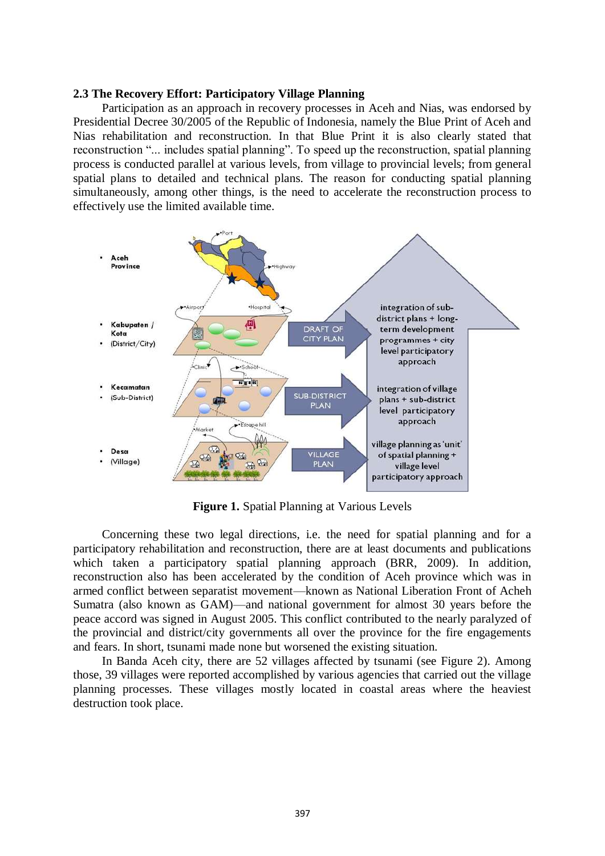#### **2.3 The Recovery Effort: Participatory Village Planning**

Participation as an approach in recovery processes in Aceh and Nias, was endorsed by Presidential Decree 30/2005 of the Republic of Indonesia, namely the Blue Print of Aceh and Nias rehabilitation and reconstruction. In that Blue Print it is also clearly stated that reconstruction "... includes spatial planning". To speed up the reconstruction, spatial planning process is conducted parallel at various levels, from village to provincial levels; from general spatial plans to detailed and technical plans. The reason for conducting spatial planning simultaneously, among other things, is the need to accelerate the reconstruction process to effectively use the limited available time.



**Figure 1.** Spatial Planning at Various Levels

Concerning these two legal directions, i.e. the need for spatial planning and for a participatory rehabilitation and reconstruction, there are at least documents and publications which taken a participatory spatial planning approach (BRR, 2009). In addition, reconstruction also has been accelerated by the condition of Aceh province which was in armed conflict between separatist movement—known as National Liberation Front of Acheh Sumatra (also known as GAM)—and national government for almost 30 years before the peace accord was signed in August 2005. This conflict contributed to the nearly paralyzed of the provincial and district/city governments all over the province for the fire engagements and fears. In short, tsunami made none but worsened the existing situation.

In Banda Aceh city, there are 52 villages affected by tsunami (see Figure 2). Among those, 39 villages were reported accomplished by various agencies that carried out the village planning processes. These villages mostly located in coastal areas where the heaviest destruction took place.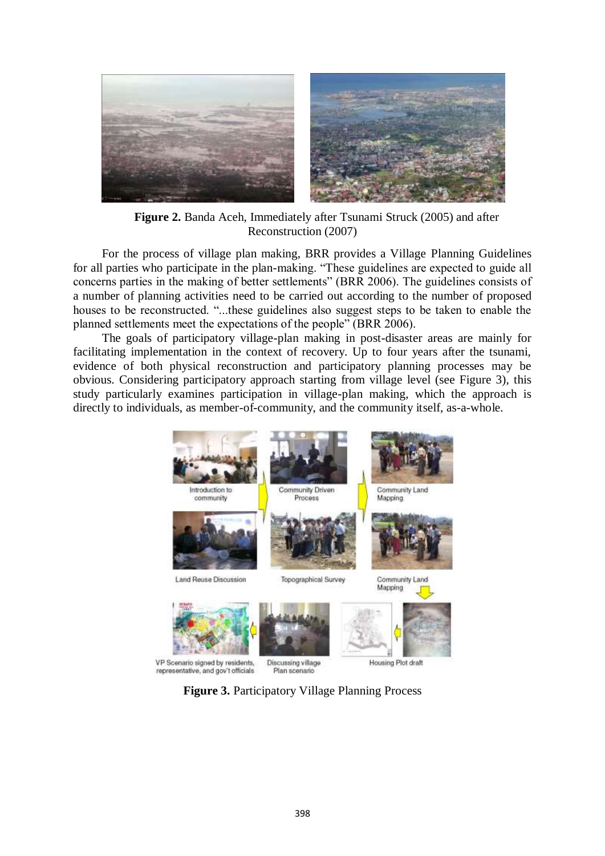

**Figure 2.** Banda Aceh, Immediately after Tsunami Struck (2005) and after Reconstruction (2007)

For the process of village plan making, BRR provides a Village Planning Guidelines for all parties who participate in the plan-making. "These guidelines are expected to guide all concerns parties in the making of better settlements" (BRR 2006). The guidelines consists of a number of planning activities need to be carried out according to the number of proposed houses to be reconstructed. "...these guidelines also suggest steps to be taken to enable the planned settlements meet the expectations of the people" (BRR 2006).

The goals of participatory village-plan making in post-disaster areas are mainly for facilitating implementation in the context of recovery. Up to four years after the tsunami, evidence of both physical reconstruction and participatory planning processes may be obvious. Considering participatory approach starting from village level (see Figure 3), this study particularly examines participation in village-plan making, which the approach is directly to individuals, as member-of-community, and the community itself, as-a-whole.



**Figure 3.** Participatory Village Planning Process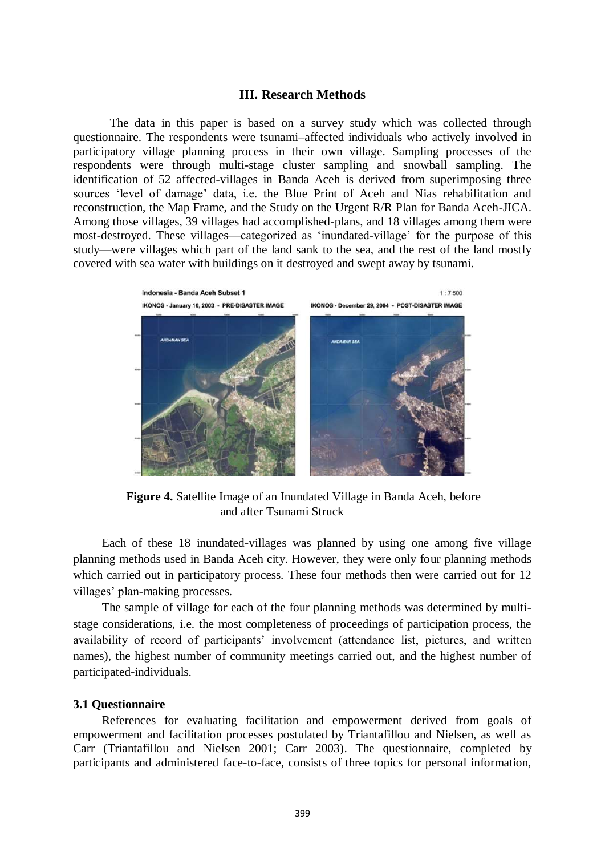## **III. Research Methods**

The data in this paper is based on a survey study which was collected through questionnaire. The respondents were tsunami–affected individuals who actively involved in participatory village planning process in their own village. Sampling processes of the respondents were through multi-stage cluster sampling and snowball sampling. The identification of 52 affected-villages in Banda Aceh is derived from superimposing three sources 'level of damage' data, i.e. the Blue Print of Aceh and Nias rehabilitation and reconstruction, the Map Frame, and the Study on the Urgent R/R Plan for Banda Aceh-JICA. Among those villages, 39 villages had accomplished-plans, and 18 villages among them were most-destroyed. These villages—categorized as 'inundated-village' for the purpose of this study—were villages which part of the land sank to the sea, and the rest of the land mostly covered with sea water with buildings on it destroyed and swept away by tsunami.



**Figure 4.** Satellite Image of an Inundated Village in Banda Aceh, before and after Tsunami Struck

Each of these 18 inundated-villages was planned by using one among five village planning methods used in Banda Aceh city. However, they were only four planning methods which carried out in participatory process. These four methods then were carried out for 12 villages' plan-making processes.

The sample of village for each of the four planning methods was determined by multistage considerations, i.e. the most completeness of proceedings of participation process, the availability of record of participants' involvement (attendance list, pictures, and written names), the highest number of community meetings carried out, and the highest number of participated-individuals.

#### **3.1 Questionnaire**

References for evaluating facilitation and empowerment derived from goals of empowerment and facilitation processes postulated by Triantafillou and Nielsen, as well as Carr (Triantafillou and Nielsen 2001; Carr 2003). The questionnaire, completed by participants and administered face-to-face, consists of three topics for personal information,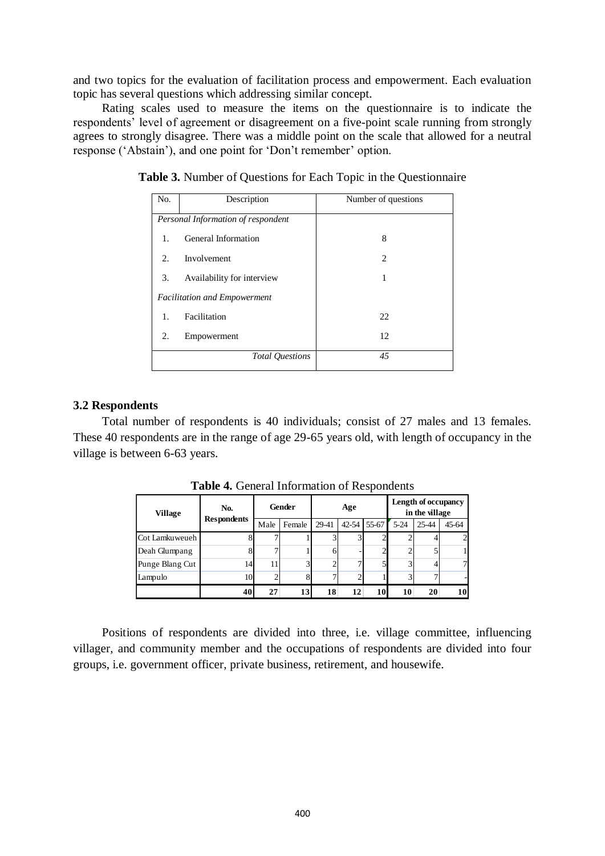and two topics for the evaluation of facilitation process and empowerment. Each evaluation topic has several questions which addressing similar concept.

Rating scales used to measure the items on the questionnaire is to indicate the respondents' level of agreement or disagreement on a five-point scale running from strongly agrees to strongly disagree. There was a middle point on the scale that allowed for a neutral response ('Abstain'), and one point for 'Don't remember' option.

| No.         | Description                         | Number of questions         |  |  |  |
|-------------|-------------------------------------|-----------------------------|--|--|--|
|             | Personal Information of respondent  |                             |  |  |  |
| 1.          | General Information                 | 8                           |  |  |  |
| $2_{\cdot}$ | Involvement                         | $\mathcal{D}_{\mathcal{L}}$ |  |  |  |
| 3.          | Availability for interview          |                             |  |  |  |
|             | <b>Facilitation and Empowerment</b> |                             |  |  |  |
| 1.          | Facilitation                        | 22                          |  |  |  |
| 2.          | Empowerment                         | 12                          |  |  |  |
|             | <b>Total Ouestions</b>              | 45                          |  |  |  |

**Table 3.** Number of Questions for Each Topic in the Questionnaire

#### **3.2 Respondents**

Total number of respondents is 40 individuals; consist of 27 males and 13 females. These 40 respondents are in the range of age 29-65 years old, with length of occupancy in the village is between 6-63 years.

| <b>Village</b>  | No.<br><b>Respondents</b> | Gender |        | Age    |           |       | Length of occupancy<br>in the village |       |       |
|-----------------|---------------------------|--------|--------|--------|-----------|-------|---------------------------------------|-------|-------|
|                 |                           | Male   | Female | 29-41  | $42 - 54$ | 55-67 | $5 - 24$                              | 25-44 | 45-64 |
| Cot Lamkuweueh  |                           |        |        | 3      |           |       |                                       |       |       |
| Deah Glumpang   |                           |        |        | 6      |           | ◠     |                                       |       |       |
| Punge Blang Cut | 14                        | 11     | 3      | ◠<br>∠ | ┑         |       | 2                                     |       | 7     |
| Lampulo         | 10                        |        | 8      | ⇁      | 2         |       |                                       |       |       |
|                 | 40                        | 27     | 13     | 18     | 12        | 10    | 10                                    | 20    | 10    |

**Table 4.** General Information of Respondents

Positions of respondents are divided into three, i.e. village committee, influencing villager, and community member and the occupations of respondents are divided into four groups, i.e. government officer, private business, retirement, and housewife.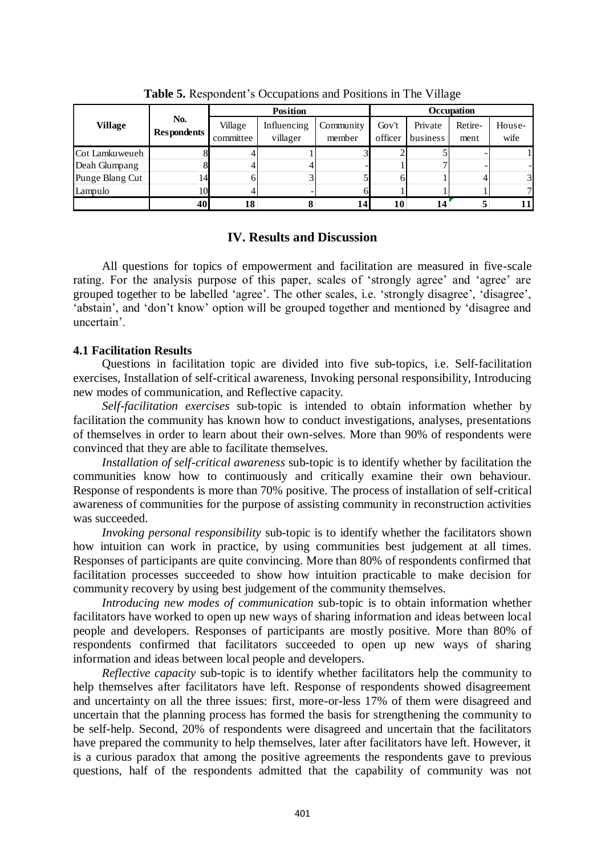|                 |                           |                      | <b>Position</b>         | Occupation          |                  |                     |                 |                |
|-----------------|---------------------------|----------------------|-------------------------|---------------------|------------------|---------------------|-----------------|----------------|
| <b>Village</b>  | No.<br><b>Respondents</b> | Village<br>committee | Influencing<br>villager | Community<br>member | Gov't<br>officer | Private<br>business | Retire-<br>ment | House-<br>wife |
| Cot Lamkuweueh  |                           |                      |                         |                     |                  |                     |                 |                |
| Deah Glumpang   |                           |                      |                         |                     |                  |                     |                 |                |
| Punge Blang Cut | 14                        |                      |                         |                     | 6                |                     |                 | 31             |
| Lampulo         | 10                        |                      |                         |                     |                  |                     |                 | 7              |
|                 | 40                        | 18                   |                         | 14                  | 10               | 14                  |                 | 11             |

**Table 5.** Respondent's Occupations and Positions in The Village

# **IV. Results and Discussion**

All questions for topics of empowerment and facilitation are measured in five-scale rating. For the analysis purpose of this paper, scales of 'strongly agree' and 'agree' are grouped together to be labelled 'agree'. The other scales, i.e. 'strongly disagree', 'disagree', 'abstain', and 'don't know' option will be grouped together and mentioned by 'disagree and uncertain'.

# **4.1 Facilitation Results**

Questions in facilitation topic are divided into five sub-topics, i.e. Self-facilitation exercises, Installation of self-critical awareness, Invoking personal responsibility, Introducing new modes of communication, and Reflective capacity.

*Self-facilitation exercises* sub-topic is intended to obtain information whether by facilitation the community has known how to conduct investigations, analyses, presentations of themselves in order to learn about their own-selves. More than 90% of respondents were convinced that they are able to facilitate themselves.

*Installation of self-critical awareness* sub-topic is to identify whether by facilitation the communities know how to continuously and critically examine their own behaviour. Response of respondents is more than 70% positive. The process of installation of self-critical awareness of communities for the purpose of assisting community in reconstruction activities was succeeded.

*Invoking personal responsibility* sub-topic is to identify whether the facilitators shown how intuition can work in practice, by using communities best judgement at all times. Responses of participants are quite convincing. More than 80% of respondents confirmed that facilitation processes succeeded to show how intuition practicable to make decision for community recovery by using best judgement of the community themselves.

*Introducing new modes of communication* sub-topic is to obtain information whether facilitators have worked to open up new ways of sharing information and ideas between local people and developers. Responses of participants are mostly positive. More than 80% of respondents confirmed that facilitators succeeded to open up new ways of sharing information and ideas between local people and developers.

*Reflective capacity* sub-topic is to identify whether facilitators help the community to help themselves after facilitators have left. Response of respondents showed disagreement and uncertainty on all the three issues: first, more-or-less 17% of them were disagreed and uncertain that the planning process has formed the basis for strengthening the community to be self-help. Second, 20% of respondents were disagreed and uncertain that the facilitators have prepared the community to help themselves, later after facilitators have left. However, it is a curious paradox that among the positive agreements the respondents gave to previous questions, half of the respondents admitted that the capability of community was not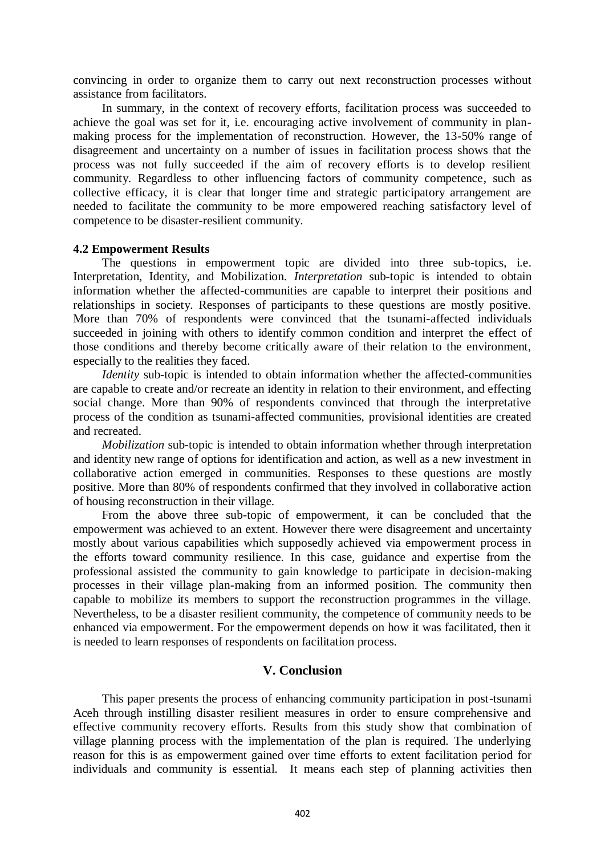convincing in order to organize them to carry out next reconstruction processes without assistance from facilitators.

In summary, in the context of recovery efforts, facilitation process was succeeded to achieve the goal was set for it, i.e. encouraging active involvement of community in planmaking process for the implementation of reconstruction. However, the 13-50% range of disagreement and uncertainty on a number of issues in facilitation process shows that the process was not fully succeeded if the aim of recovery efforts is to develop resilient community. Regardless to other influencing factors of community competence, such as collective efficacy, it is clear that longer time and strategic participatory arrangement are needed to facilitate the community to be more empowered reaching satisfactory level of competence to be disaster-resilient community.

## **4.2 Empowerment Results**

The questions in empowerment topic are divided into three sub-topics, i.e. Interpretation, Identity, and Mobilization. *Interpretation* sub-topic is intended to obtain information whether the affected-communities are capable to interpret their positions and relationships in society. Responses of participants to these questions are mostly positive. More than 70% of respondents were convinced that the tsunami-affected individuals succeeded in joining with others to identify common condition and interpret the effect of those conditions and thereby become critically aware of their relation to the environment, especially to the realities they faced.

*Identity* sub-topic is intended to obtain information whether the affected-communities are capable to create and/or recreate an identity in relation to their environment, and effecting social change. More than 90% of respondents convinced that through the interpretative process of the condition as tsunami-affected communities, provisional identities are created and recreated.

*Mobilization* sub-topic is intended to obtain information whether through interpretation and identity new range of options for identification and action, as well as a new investment in collaborative action emerged in communities. Responses to these questions are mostly positive. More than 80% of respondents confirmed that they involved in collaborative action of housing reconstruction in their village.

From the above three sub-topic of empowerment, it can be concluded that the empowerment was achieved to an extent. However there were disagreement and uncertainty mostly about various capabilities which supposedly achieved via empowerment process in the efforts toward community resilience. In this case, guidance and expertise from the professional assisted the community to gain knowledge to participate in decision-making processes in their village plan-making from an informed position. The community then capable to mobilize its members to support the reconstruction programmes in the village. Nevertheless, to be a disaster resilient community, the competence of community needs to be enhanced via empowerment. For the empowerment depends on how it was facilitated, then it is needed to learn responses of respondents on facilitation process.

# **V. Conclusion**

This paper presents the process of enhancing community participation in post-tsunami Aceh through instilling disaster resilient measures in order to ensure comprehensive and effective community recovery efforts. Results from this study show that combination of village planning process with the implementation of the plan is required. The underlying reason for this is as empowerment gained over time efforts to extent facilitation period for individuals and community is essential. It means each step of planning activities then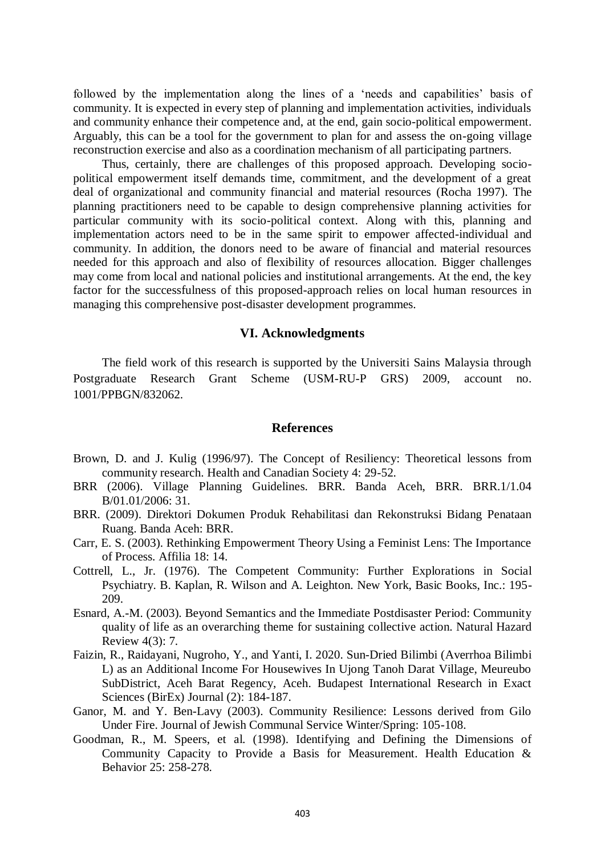followed by the implementation along the lines of a 'needs and capabilities' basis of community. It is expected in every step of planning and implementation activities, individuals and community enhance their competence and, at the end, gain socio-political empowerment. Arguably, this can be a tool for the government to plan for and assess the on-going village reconstruction exercise and also as a coordination mechanism of all participating partners.

Thus, certainly, there are challenges of this proposed approach. Developing sociopolitical empowerment itself demands time, commitment, and the development of a great deal of organizational and community financial and material resources (Rocha 1997). The planning practitioners need to be capable to design comprehensive planning activities for particular community with its socio-political context. Along with this, planning and implementation actors need to be in the same spirit to empower affected-individual and community. In addition, the donors need to be aware of financial and material resources needed for this approach and also of flexibility of resources allocation. Bigger challenges may come from local and national policies and institutional arrangements. At the end, the key factor for the successfulness of this proposed-approach relies on local human resources in managing this comprehensive post-disaster development programmes.

#### **VI. Acknowledgments**

The field work of this research is supported by the Universiti Sains Malaysia through Postgraduate Research Grant Scheme (USM-RU-P GRS) 2009, account no. 1001/PPBGN/832062.

### **References**

- Brown, D. and J. Kulig (1996/97). The Concept of Resiliency: Theoretical lessons from community research. Health and Canadian Society 4: 29-52.
- BRR (2006). Village Planning Guidelines. BRR. Banda Aceh, BRR. BRR.1/1.04 B/01.01/2006: 31.
- BRR. (2009). Direktori Dokumen Produk Rehabilitasi dan Rekonstruksi Bidang Penataan Ruang. Banda Aceh: BRR.
- Carr, E. S. (2003). Rethinking Empowerment Theory Using a Feminist Lens: The Importance of Process. Affilia 18: 14.
- Cottrell, L., Jr. (1976). The Competent Community: Further Explorations in Social Psychiatry. B. Kaplan, R. Wilson and A. Leighton. New York, Basic Books, Inc.: 195- 209.
- Esnard, A.-M. (2003). Beyond Semantics and the Immediate Postdisaster Period: Community quality of life as an overarching theme for sustaining collective action. Natural Hazard Review 4(3): 7.
- Faizin, R., Raidayani, Nugroho, Y., and Yanti, I. 2020. Sun-Dried Bilimbi (Averrhoa Bilimbi L) as an Additional Income For Housewives In Ujong Tanoh Darat Village, Meureubo SubDistrict, Aceh Barat Regency, Aceh. Budapest International Research in Exact Sciences (BirEx) Journal (2): 184-187.
- Ganor, M. and Y. Ben-Lavy (2003). Community Resilience: Lessons derived from Gilo Under Fire. Journal of Jewish Communal Service Winter/Spring: 105-108.
- Goodman, R., M. Speers, et al. (1998). Identifying and Defining the Dimensions of Community Capacity to Provide a Basis for Measurement. Health Education & Behavior 25: 258-278.